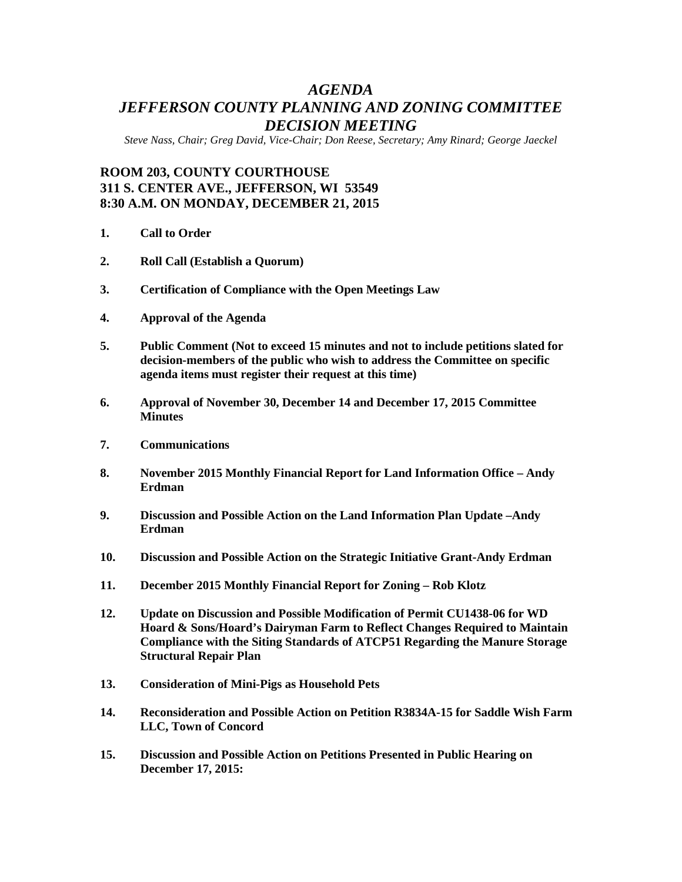# *AGENDA JEFFERSON COUNTY PLANNING AND ZONING COMMITTEE DECISION MEETING*

*Steve Nass, Chair; Greg David, Vice-Chair; Don Reese, Secretary; Amy Rinard; George Jaeckel*

## **ROOM 203, COUNTY COURTHOUSE 311 S. CENTER AVE., JEFFERSON, WI 53549 8:30 A.M. ON MONDAY, DECEMBER 21, 2015**

- **1. Call to Order**
- **2. Roll Call (Establish a Quorum)**
- **3. Certification of Compliance with the Open Meetings Law**
- **4. Approval of the Agenda**
- **5. Public Comment (Not to exceed 15 minutes and not to include petitions slated for decision-members of the public who wish to address the Committee on specific agenda items must register their request at this time)**
- **6. Approval of November 30, December 14 and December 17, 2015 Committee Minutes**
- **7. Communications**
- **8. November 2015 Monthly Financial Report for Land Information Office – Andy Erdman**
- **9. Discussion and Possible Action on the Land Information Plan Update –Andy Erdman**
- **10. Discussion and Possible Action on the Strategic Initiative Grant-Andy Erdman**
- **11. December 2015 Monthly Financial Report for Zoning – Rob Klotz**
- **12. Update on Discussion and Possible Modification of Permit CU1438-06 for WD Hoard & Sons/Hoard's Dairyman Farm to Reflect Changes Required to Maintain Compliance with the Siting Standards of ATCP51 Regarding the Manure Storage Structural Repair Plan**
- **13. Consideration of Mini-Pigs as Household Pets**
- **14. Reconsideration and Possible Action on Petition R3834A-15 for Saddle Wish Farm LLC, Town of Concord**
- **15. Discussion and Possible Action on Petitions Presented in Public Hearing on December 17, 2015:**